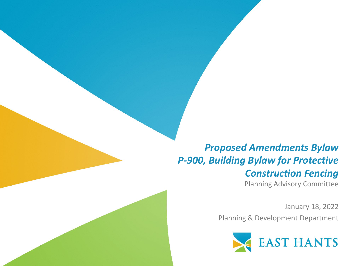#### *Proposed Amendments Bylaw P-900, Building Bylaw for Protective Construction Fencing*

Planning Advisory Committee

January 18, 2022

Planning & Development Department

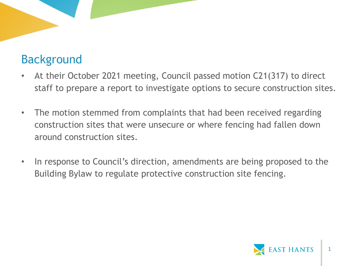# Background

- At their October 2021 meeting, Council passed motion C21(317) to direct staff to prepare a report to investigate options to secure construction sites.
- The motion stemmed from complaints that had been received regarding construction sites that were unsecure or where fencing had fallen down around construction sites.
- In response to Council's direction, amendments are being proposed to the Building Bylaw to regulate protective construction site fencing.

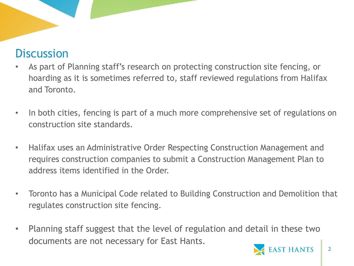### **Discussion**

- As part of Planning staff's research on protecting construction site fencing, or hoarding as it is sometimes referred to, staff reviewed regulations from Halifax and Toronto.
- In both cities, fencing is part of a much more comprehensive set of regulations on construction site standards.
- Halifax uses an Administrative Order Respecting Construction Management and requires construction companies to submit a Construction Management Plan to address items identified in the Order.
- Toronto has a Municipal Code related to Building Construction and Demolition that regulates construction site fencing.
- Planning staff suggest that the level of regulation and detail in these two documents are not necessary for East Hants.

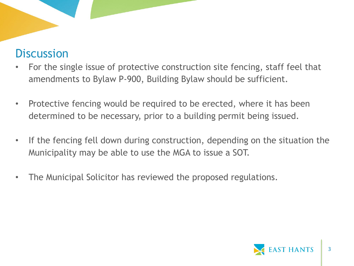### **Discussion**

- For the single issue of protective construction site fencing, staff feel that amendments to Bylaw P-900, Building Bylaw should be sufficient.
- Protective fencing would be required to be erected, where it has been determined to be necessary, prior to a building permit being issued.
- If the fencing fell down during construction, depending on the situation the Municipality may be able to use the MGA to issue a SOT.
- The Municipal Solicitor has reviewed the proposed regulations.

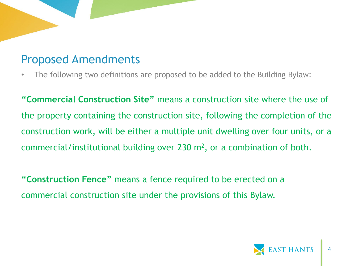### Proposed Amendments

• The following two definitions are proposed to be added to the Building Bylaw:

**"Commercial Construction Site"** means a construction site where the use of the property containing the construction site, following the completion of the construction work, will be either a multiple unit dwelling over four units, or a commercial/institutional building over 230  $m^2$ , or a combination of both.

**"Construction Fence"** means a fence required to be erected on a commercial construction site under the provisions of this Bylaw.

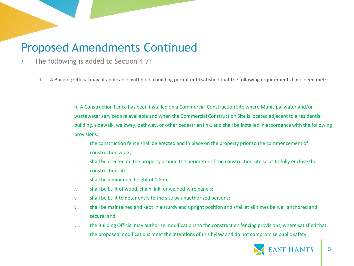#### Proposed Amendments Continued

- The following is added to Section 4.7:
	- 1. A Building Official may, if applicable, withhold a building permit until satisfied that the following requirements have been met: ………

h) A Construction Fence has been installed on a Commercial Construction Site where Municipal water and/or wastewater services are available and when the Commercial Construction Site is located adjacent to a residential building, sidewalk, walkway, pathway, or other pedestrian link, and shall be installed in accordance with the following provisions:

- i. the construction fence shall be erected and in place on the property prior to the commencement of construction work;
- ii. shall be erected on the property around the perimeter of the construction site so as to fully enclose the construction site;
- iii. shall be a minimum height of 1.8 m;
- iv. shall be built of wood, chain link, or welded-wire panels;
- v. shall be built to deter entry to the site by unauthorized persons;
- vi. shall be maintained and kept in a sturdy and upright position and shall at all times be well anchored and secure; and
- vii. the Building Official may authorize modifications to the construction fencing provisions, where satisfied that the proposed modifications meet the intentions of this bylaw and do not compromise public safety.

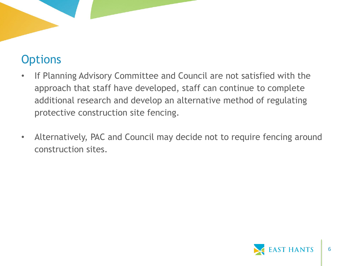# **Options**

- If Planning Advisory Committee and Council are not satisfied with the approach that staff have developed, staff can continue to complete additional research and develop an alternative method of regulating protective construction site fencing.
- Alternatively, PAC and Council may decide not to require fencing around construction sites.